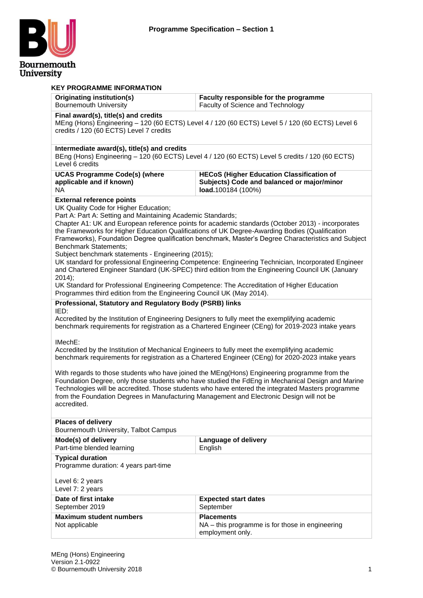

| <b>KEY PROGRAMME INFORMATION</b>                                                                                                                                                                                                                                                                                                                                                                                                                                                                                                                                                                                                                                                                                                                                                                                                                                                                                                |                                                                                                   |  |  |  |
|---------------------------------------------------------------------------------------------------------------------------------------------------------------------------------------------------------------------------------------------------------------------------------------------------------------------------------------------------------------------------------------------------------------------------------------------------------------------------------------------------------------------------------------------------------------------------------------------------------------------------------------------------------------------------------------------------------------------------------------------------------------------------------------------------------------------------------------------------------------------------------------------------------------------------------|---------------------------------------------------------------------------------------------------|--|--|--|
| <b>Originating institution(s)</b><br><b>Bournemouth University</b>                                                                                                                                                                                                                                                                                                                                                                                                                                                                                                                                                                                                                                                                                                                                                                                                                                                              | Faculty responsible for the programme<br>Faculty of Science and Technology                        |  |  |  |
| Final award(s), title(s) and credits<br>MEng (Hons) Engineering - 120 (60 ECTS) Level 4 / 120 (60 ECTS) Level 5 / 120 (60 ECTS) Level 6<br>credits / 120 (60 ECTS) Level 7 credits                                                                                                                                                                                                                                                                                                                                                                                                                                                                                                                                                                                                                                                                                                                                              |                                                                                                   |  |  |  |
| Intermediate award(s), title(s) and credits<br>Level 6 credits                                                                                                                                                                                                                                                                                                                                                                                                                                                                                                                                                                                                                                                                                                                                                                                                                                                                  | BEng (Hons) Engineering - 120 (60 ECTS) Level 4 / 120 (60 ECTS) Level 5 credits / 120 (60 ECTS)   |  |  |  |
| <b>UCAS Programme Code(s) (where</b><br><b>HECoS (Higher Education Classification of</b><br>applicable and if known)<br>Subjects) Code and balanced or major/minor<br>load.100184 (100%)<br>NA.                                                                                                                                                                                                                                                                                                                                                                                                                                                                                                                                                                                                                                                                                                                                 |                                                                                                   |  |  |  |
| <b>External reference points</b><br>UK Quality Code for Higher Education;<br>Part A: Part A: Setting and Maintaining Academic Standards;<br>Chapter A1: UK and European reference points for academic standards (October 2013) - incorporates<br>the Frameworks for Higher Education Qualifications of UK Degree-Awarding Bodies (Qualification<br>Frameworks), Foundation Degree qualification benchmark, Master's Degree Characteristics and Subject<br>Benchmark Statements;<br>Subject benchmark statements - Engineering (2015);<br>UK standard for professional Engineering Competence: Engineering Technician, Incorporated Engineer<br>and Chartered Engineer Standard (UK-SPEC) third edition from the Engineering Council UK (January<br>2014);<br>UK Standard for Professional Engineering Competence: The Accreditation of Higher Education<br>Programmes third edition from the Engineering Council UK (May 2014). |                                                                                                   |  |  |  |
| Professional, Statutory and Regulatory Body (PSRB) links                                                                                                                                                                                                                                                                                                                                                                                                                                                                                                                                                                                                                                                                                                                                                                                                                                                                        |                                                                                                   |  |  |  |
| IED:<br>Accredited by the Institution of Engineering Designers to fully meet the exemplifying academic<br>benchmark requirements for registration as a Chartered Engineer (CEng) for 2019-2023 intake years<br>IMechE:                                                                                                                                                                                                                                                                                                                                                                                                                                                                                                                                                                                                                                                                                                          |                                                                                                   |  |  |  |
| Accredited by the Institution of Mechanical Engineers to fully meet the exemplifying academic                                                                                                                                                                                                                                                                                                                                                                                                                                                                                                                                                                                                                                                                                                                                                                                                                                   | benchmark requirements for registration as a Chartered Engineer (CEng) for 2020-2023 intake years |  |  |  |
| With regards to those students who have joined the MEng(Hons) Engineering programme from the<br>Foundation Degree, only those students who have studied the FdEng in Mechanical Design and Marine<br>Technologies will be accredited. Those students who have entered the integrated Masters programme<br>from the Foundation Degrees in Manufacturing Management and Electronic Design will not be<br>accredited.                                                                                                                                                                                                                                                                                                                                                                                                                                                                                                              |                                                                                                   |  |  |  |
| <b>Places of delivery</b><br>Bournemouth University, Talbot Campus                                                                                                                                                                                                                                                                                                                                                                                                                                                                                                                                                                                                                                                                                                                                                                                                                                                              |                                                                                                   |  |  |  |
| Mode(s) of delivery<br>Language of delivery<br>Part-time blended learning<br>English                                                                                                                                                                                                                                                                                                                                                                                                                                                                                                                                                                                                                                                                                                                                                                                                                                            |                                                                                                   |  |  |  |
| <b>Typical duration</b><br>Programme duration: 4 years part-time<br>Level 6: 2 years<br>Level 7: 2 years                                                                                                                                                                                                                                                                                                                                                                                                                                                                                                                                                                                                                                                                                                                                                                                                                        |                                                                                                   |  |  |  |
| Date of first intake<br><b>Expected start dates</b><br>September 2019<br>September                                                                                                                                                                                                                                                                                                                                                                                                                                                                                                                                                                                                                                                                                                                                                                                                                                              |                                                                                                   |  |  |  |
| <b>Maximum student numbers</b><br><b>Placements</b><br>Not applicable<br>NA - this programme is for those in engineering<br>employment only.                                                                                                                                                                                                                                                                                                                                                                                                                                                                                                                                                                                                                                                                                                                                                                                    |                                                                                                   |  |  |  |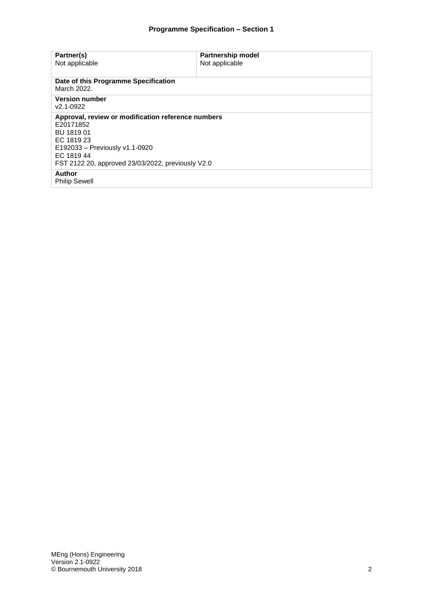| Partner(s)<br>Not applicable                                                                                                                                                                     | <b>Partnership model</b><br>Not applicable |  |
|--------------------------------------------------------------------------------------------------------------------------------------------------------------------------------------------------|--------------------------------------------|--|
| Date of this Programme Specification<br>March 2022.                                                                                                                                              |                                            |  |
| <b>Version number</b><br>v2.1-0922                                                                                                                                                               |                                            |  |
| Approval, review or modification reference numbers<br>E20171852<br>BU 1819 01<br>EC 1819 23<br>E192033 - Previously v1.1-0920<br>EC 1819 44<br>FST 2122 20, approved 23/03/2022, previously V2.0 |                                            |  |
| <b>Author</b><br><b>Philip Sewell</b>                                                                                                                                                            |                                            |  |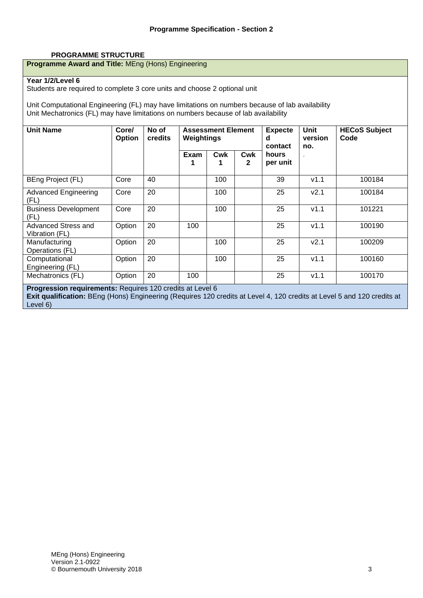#### **PROGRAMME STRUCTURE**

#### **Programme Award and Title:** MEng (Hons) Engineering

#### **Year 1/2/Level 6**

Students are required to complete 3 core units and choose 2 optional unit

Unit Computational Engineering (FL) may have limitations on numbers because of lab availability Unit Mechatronics (FL) may have limitations on numbers because of lab availability

| <b>Unit Name</b>                                                 | Core/<br>Option | No of<br>credits | <b>Assessment Element</b><br>Weightings |     | <b>Expecte</b><br>d<br>contact | Unit<br>version<br>no. | <b>HECoS Subject</b><br>Code |        |
|------------------------------------------------------------------|-----------------|------------------|-----------------------------------------|-----|--------------------------------|------------------------|------------------------------|--------|
|                                                                  |                 |                  | Exam                                    | Cwk | Cwk<br>$\mathbf{2}$            | hours<br>per unit      |                              |        |
| BEng Project (FL)                                                | Core            | 40               |                                         | 100 |                                | 39                     | v1.1                         | 100184 |
| <b>Advanced Engineering</b><br>(FL)                              | Core            | 20               |                                         | 100 |                                | 25                     | V <sub>2.1</sub>             | 100184 |
| <b>Business Development</b><br>(FL)                              | Core            | 20               |                                         | 100 |                                | 25                     | v1.1                         | 101221 |
| <b>Advanced Stress and</b><br>Vibration (FL)                     | Option          | 20               | 100                                     |     |                                | 25                     | V1.1                         | 100190 |
| Manufacturing<br>Operations (FL)                                 | Option          | 20               |                                         | 100 |                                | 25                     | V <sub>2.1</sub>             | 100209 |
| Computational<br>Engineering (FL)                                | Option          | 20               |                                         | 100 |                                | 25                     | V1.1                         | 100160 |
| Mechatronics (FL)                                                | Option          | 20               | 100                                     |     |                                | 25                     | V1.1                         | 100170 |
| <b>Progression requirements: Requires 120 credits at Level 6</b> |                 |                  |                                         |     |                                |                        |                              |        |

**Exit qualification:** BEng (Hons) Engineering (Requires 120 credits at Level 4, 120 credits at Level 5 and 120 credits at Level 6)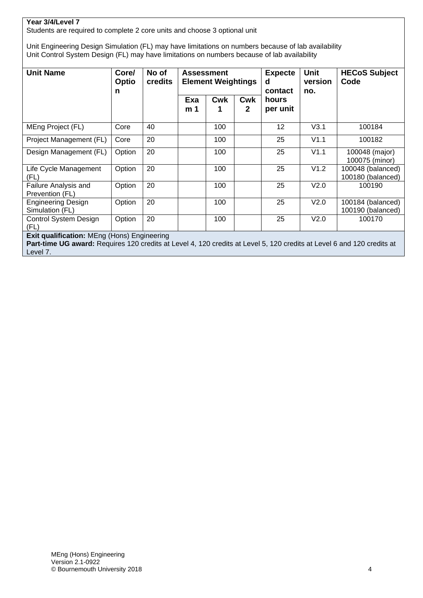### **Year 3/4/Level 7**

Students are required to complete 2 core units and choose 3 optional unit

Unit Engineering Design Simulation (FL) may have limitations on numbers because of lab availability Unit Control System Design (FL) may have limitations on numbers because of lab availability

| <b>Unit Name</b>                                                                                                                                                      | Core/<br><b>Optio</b><br>n | No of<br><b>credits</b> | <b>Assessment</b><br><b>Element Weightings</b> |            | <b>Expecte</b><br>d<br>contact | <b>Unit</b><br>version<br>no. | <b>HECoS Subject</b><br>Code |                                        |
|-----------------------------------------------------------------------------------------------------------------------------------------------------------------------|----------------------------|-------------------------|------------------------------------------------|------------|--------------------------------|-------------------------------|------------------------------|----------------------------------------|
|                                                                                                                                                                       |                            |                         | Exa<br>m <sub>1</sub>                          | <b>Cwk</b> | <b>Cwk</b><br>2                | hours<br>per unit             |                              |                                        |
| MEng Project (FL)                                                                                                                                                     | Core                       | 40                      |                                                | 100        |                                | 12                            | V3.1                         | 100184                                 |
| Project Management (FL)                                                                                                                                               | Core                       | 20                      |                                                | 100        |                                | 25                            | V1.1                         | 100182                                 |
| Design Management (FL)                                                                                                                                                | Option                     | 20                      |                                                | 100        |                                | 25                            | V1.1                         | 100048 (major)<br>100075 (minor)       |
| Life Cycle Management<br>(FL)                                                                                                                                         | Option                     | 20                      |                                                | 100        |                                | 25                            | V1.2                         | 100048 (balanced)<br>100180 (balanced) |
| Failure Analysis and<br>Prevention (FL)                                                                                                                               | Option                     | 20                      |                                                | 100        |                                | 25                            | V2.0                         | 100190                                 |
| <b>Engineering Design</b><br>Simulation (FL)                                                                                                                          | Option                     | 20                      |                                                | 100        |                                | 25                            | V2.0                         | 100184 (balanced)<br>100190 (balanced) |
| Control System Design<br>(FL)                                                                                                                                         | Option                     | 20                      |                                                | 100        |                                | 25                            | V2.0                         | 100170                                 |
| Exit qualification: MEng (Hons) Engineering<br>Part-time UG award: Requires 120 credits at Level 4, 120 credits at Level 5, 120 credits at Level 6 and 120 credits at |                            |                         |                                                |            |                                |                               |                              |                                        |

Level 7.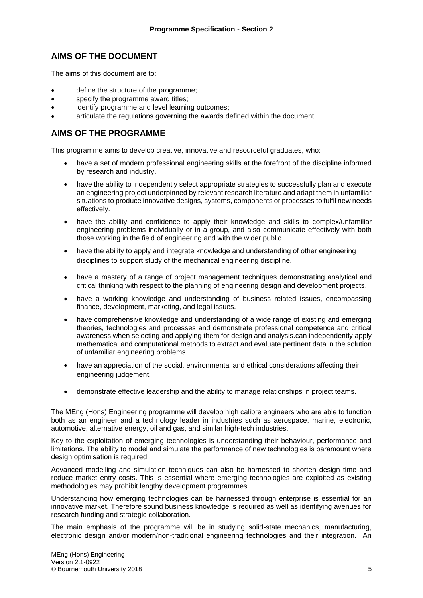### **AIMS OF THE DOCUMENT**

The aims of this document are to:

- define the structure of the programme;
- specify the programme award titles;
- identify programme and level learning outcomes:
- articulate the regulations governing the awards defined within the document.

### **AIMS OF THE PROGRAMME**

This programme aims to develop creative, innovative and resourceful graduates, who:

- have a set of modern professional engineering skills at the forefront of the discipline informed by research and industry.
- have the ability to independently select appropriate strategies to successfully plan and execute an engineering project underpinned by relevant research literature and adapt them in unfamiliar situations to produce innovative designs, systems, components or processes to fulfil new needs effectively.
- have the ability and confidence to apply their knowledge and skills to complex/unfamiliar engineering problems individually or in a group, and also communicate effectively with both those working in the field of engineering and with the wider public.
- have the ability to apply and integrate knowledge and understanding of other engineering disciplines to support study of the mechanical engineering discipline.
- have a mastery of a range of project management techniques demonstrating analytical and critical thinking with respect to the planning of engineering design and development projects.
- have a working knowledge and understanding of business related issues, encompassing finance, development, marketing, and legal issues.
- have comprehensive knowledge and understanding of a wide range of existing and emerging theories, technologies and processes and demonstrate professional competence and critical awareness when selecting and applying them for design and analysis.can independently apply mathematical and computational methods to extract and evaluate pertinent data in the solution of unfamiliar engineering problems.
- have an appreciation of the social, environmental and ethical considerations affecting their engineering judgement.
- demonstrate effective leadership and the ability to manage relationships in project teams.

The MEng (Hons) Engineering programme will develop high calibre engineers who are able to function both as an engineer and a technology leader in industries such as aerospace, marine, electronic, automotive, alternative energy, oil and gas, and similar high-tech industries.

Key to the exploitation of emerging technologies is understanding their behaviour, performance and limitations. The ability to model and simulate the performance of new technologies is paramount where design optimisation is required.

Advanced modelling and simulation techniques can also be harnessed to shorten design time and reduce market entry costs. This is essential where emerging technologies are exploited as existing methodologies may prohibit lengthy development programmes.

Understanding how emerging technologies can be harnessed through enterprise is essential for an innovative market. Therefore sound business knowledge is required as well as identifying avenues for research funding and strategic collaboration.

The main emphasis of the programme will be in studying solid-state mechanics, manufacturing, electronic design and/or modern/non-traditional engineering technologies and their integration. An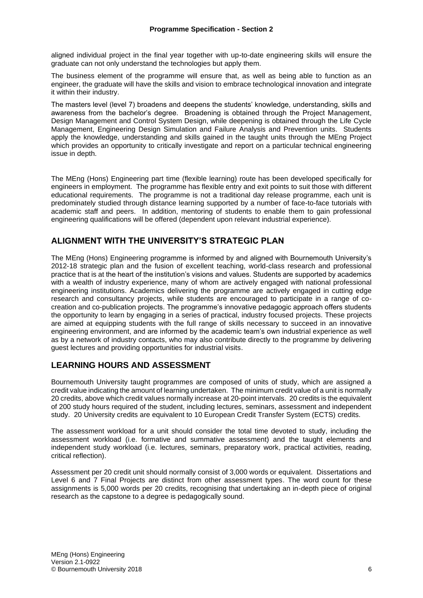aligned individual project in the final year together with up-to-date engineering skills will ensure the graduate can not only understand the technologies but apply them.

The business element of the programme will ensure that, as well as being able to function as an engineer, the graduate will have the skills and vision to embrace technological innovation and integrate it within their industry.

The masters level (level 7) broadens and deepens the students' knowledge, understanding, skills and awareness from the bachelor's degree. Broadening is obtained through the Project Management, Design Management and Control System Design, while deepening is obtained through the Life Cycle Management, Engineering Design Simulation and Failure Analysis and Prevention units. Students apply the knowledge, understanding and skills gained in the taught units through the MEng Project which provides an opportunity to critically investigate and report on a particular technical engineering issue in depth.

The MEng (Hons) Engineering part time (flexible learning) route has been developed specifically for engineers in employment. The programme has flexible entry and exit points to suit those with different educational requirements. The programme is not a traditional day release programme, each unit is predominately studied through distance learning supported by a number of face-to-face tutorials with academic staff and peers. In addition, mentoring of students to enable them to gain professional engineering qualifications will be offered (dependent upon relevant industrial experience).

### **ALIGNMENT WITH THE UNIVERSITY'S STRATEGIC PLAN**

The MEng (Hons) Engineering programme is informed by and aligned with Bournemouth University's 2012-18 strategic plan and the fusion of excellent teaching, world-class research and professional practice that is at the heart of the institution's visions and values. Students are supported by academics with a wealth of industry experience, many of whom are actively engaged with national professional engineering institutions. Academics delivering the programme are actively engaged in cutting edge research and consultancy projects, while students are encouraged to participate in a range of cocreation and co-publication projects. The programme's innovative pedagogic approach offers students the opportunity to learn by engaging in a series of practical, industry focused projects. These projects are aimed at equipping students with the full range of skills necessary to succeed in an innovative engineering environment, and are informed by the academic team's own industrial experience as well as by a network of industry contacts, who may also contribute directly to the programme by delivering guest lectures and providing opportunities for industrial visits.

### **LEARNING HOURS AND ASSESSMENT**

Bournemouth University taught programmes are composed of units of study, which are assigned a credit value indicating the amount of learning undertaken. The minimum credit value of a unit is normally 20 credits, above which credit values normally increase at 20-point intervals. 20 credits is the equivalent of 200 study hours required of the student, including lectures, seminars, assessment and independent study. 20 University credits are equivalent to 10 European Credit Transfer System (ECTS) credits.

The assessment workload for a unit should consider the total time devoted to study, including the assessment workload (i.e. formative and summative assessment) and the taught elements and independent study workload (i.e. lectures, seminars, preparatory work, practical activities, reading, critical reflection).

Assessment per 20 credit unit should normally consist of 3,000 words or equivalent. Dissertations and Level 6 and 7 Final Projects are distinct from other assessment types. The word count for these assignments is 5,000 words per 20 credits, recognising that undertaking an in-depth piece of original research as the capstone to a degree is pedagogically sound.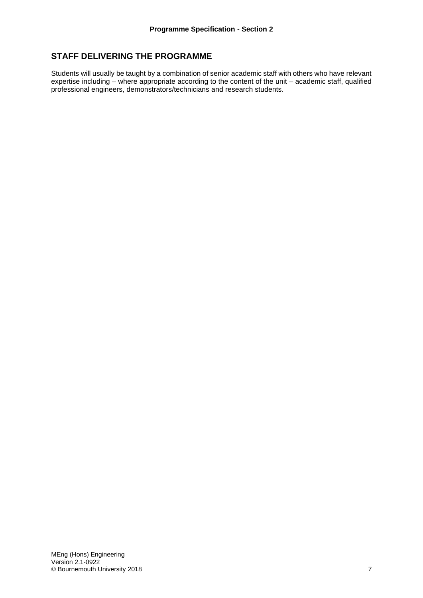### **STAFF DELIVERING THE PROGRAMME**

Students will usually be taught by a combination of senior academic staff with others who have relevant expertise including – where appropriate according to the content of the unit – academic staff, qualified professional engineers, demonstrators/technicians and research students.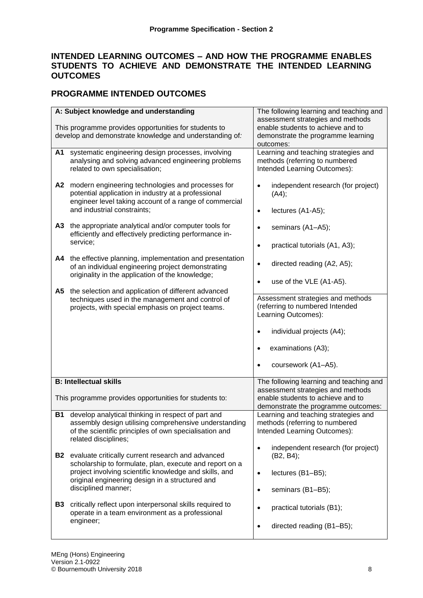### **INTENDED LEARNING OUTCOMES – AND HOW THE PROGRAMME ENABLES STUDENTS TO ACHIEVE AND DEMONSTRATE THE INTENDED LEARNING OUTCOMES**

### **PROGRAMME INTENDED OUTCOMES**

| A: Subject knowledge and understanding<br>This programme provides opportunities for students to<br>develop and demonstrate knowledge and understanding of:                                                                                                    | The following learning and teaching and<br>assessment strategies and methods<br>enable students to achieve and to<br>demonstrate the programme learning                  |
|---------------------------------------------------------------------------------------------------------------------------------------------------------------------------------------------------------------------------------------------------------------|--------------------------------------------------------------------------------------------------------------------------------------------------------------------------|
| systematic engineering design processes, involving<br>A1<br>analysing and solving advanced engineering problems<br>related to own specialisation;                                                                                                             | outcomes:<br>Learning and teaching strategies and<br>methods (referring to numbered<br>Intended Learning Outcomes):                                                      |
| modern engineering technologies and processes for<br>A2<br>potential application in industry at a professional<br>engineer level taking account of a range of commercial<br>and industrial constraints;                                                       | independent research (for project)<br>$\bullet$<br>(A4);<br>lectures (A1-A5);<br>$\bullet$                                                                               |
| the appropriate analytical and/or computer tools for<br><b>A3</b><br>efficiently and effectively predicting performance in-<br>service;                                                                                                                       | seminars (A1-A5);<br>$\bullet$<br>practical tutorials (A1, A3);<br>$\bullet$                                                                                             |
| the effective planning, implementation and presentation<br>A4<br>of an individual engineering project demonstrating<br>originality in the application of the knowledge;                                                                                       | directed reading (A2, A5);<br>$\bullet$<br>use of the VLE (A1-A5).<br>$\bullet$                                                                                          |
| the selection and application of different advanced<br>A5<br>techniques used in the management and control of<br>projects, with special emphasis on project teams.                                                                                            | Assessment strategies and methods<br>(referring to numbered Intended<br>Learning Outcomes):<br>individual projects (A4);<br>$\bullet$<br>examinations (A3);<br>$\bullet$ |
|                                                                                                                                                                                                                                                               | coursework (A1-A5).<br>$\bullet$                                                                                                                                         |
| <b>B: Intellectual skills</b><br>This programme provides opportunities for students to:                                                                                                                                                                       | The following learning and teaching and<br>assessment strategies and methods<br>enable students to achieve and to<br>demonstrate the programme outcomes:                 |
| develop analytical thinking in respect of part and<br><b>B1</b><br>assembly design utilising comprehensive understanding<br>of the scientific principles of own specialisation and<br>related disciplines;                                                    | Learning and teaching strategies and<br>methods (referring to numbered<br>Intended Learning Outcomes):                                                                   |
| evaluate critically current research and advanced<br><b>B2</b><br>scholarship to formulate, plan, execute and report on a<br>project involving scientific knowledge and skills, and<br>original engineering design in a structured and<br>disciplined manner; | independent research (for project)<br>$\bullet$<br>(B2, B4);<br>lectures (B1-B5);<br>$\bullet$<br>seminars (B1-B5);<br>$\bullet$                                         |
| <b>B3</b> critically reflect upon interpersonal skills required to<br>operate in a team environment as a professional<br>engineer;                                                                                                                            | practical tutorials (B1);<br>$\bullet$<br>directed reading (B1-B5);<br>$\bullet$                                                                                         |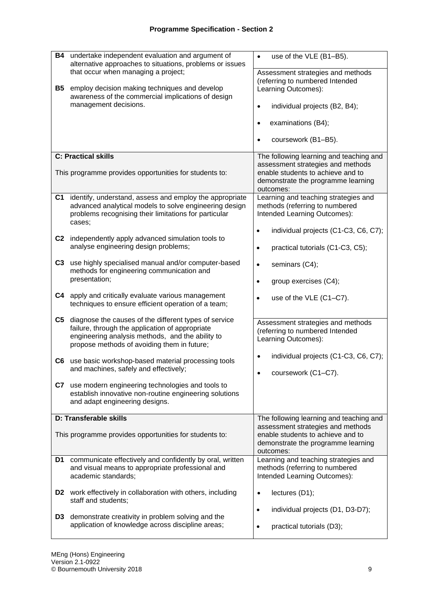| <b>B4</b><br>undertake independent evaluation and argument of<br>alternative approaches to situations, problems or issues<br>that occur when managing a project;<br><b>B5</b><br>employ decision making techniques and develop<br>awareness of the commercial implications of design<br>management decisions. | use of the VLE (B1-B5).<br>$\bullet$<br>Assessment strategies and methods<br>(referring to numbered Intended<br>Learning Outcomes):<br>individual projects (B2, B4);<br>$\bullet$<br>examinations (B4);<br>$\bullet$<br>coursework (B1-B5). |
|---------------------------------------------------------------------------------------------------------------------------------------------------------------------------------------------------------------------------------------------------------------------------------------------------------------|---------------------------------------------------------------------------------------------------------------------------------------------------------------------------------------------------------------------------------------------|
| <b>C: Practical skills</b><br>This programme provides opportunities for students to:                                                                                                                                                                                                                          | The following learning and teaching and<br>assessment strategies and methods<br>enable students to achieve and to<br>demonstrate the programme learning<br>outcomes:                                                                        |
| identify, understand, assess and employ the appropriate<br>C1<br>advanced analytical models to solve engineering design<br>problems recognising their limitations for particular<br>cases;                                                                                                                    | Learning and teaching strategies and<br>methods (referring to numbered<br>Intended Learning Outcomes):<br>individual projects (C1-C3, C6, C7);<br>$\bullet$                                                                                 |
| C2 independently apply advanced simulation tools to<br>analyse engineering design problems;                                                                                                                                                                                                                   | practical tutorials (C1-C3, C5);<br>$\bullet$                                                                                                                                                                                               |
| C3 use highly specialised manual and/or computer-based<br>methods for engineering communication and<br>presentation;                                                                                                                                                                                          | seminars (C4);<br>$\bullet$<br>group exercises (C4);<br>$\bullet$                                                                                                                                                                           |
| apply and critically evaluate various management<br>C4<br>techniques to ensure efficient operation of a team;                                                                                                                                                                                                 | use of the VLE (C1-C7).<br>$\bullet$                                                                                                                                                                                                        |
| C <sub>5</sub><br>diagnose the causes of the different types of service<br>failure, through the application of appropriate<br>engineering analysis methods, and the ability to<br>propose methods of avoiding them in future;                                                                                 | Assessment strategies and methods<br>(referring to numbered Intended<br>Learning Outcomes):                                                                                                                                                 |
| C6 use basic workshop-based material processing tools<br>and machines, safely and effectively;                                                                                                                                                                                                                | individual projects (C1-C3, C6, C7);<br>$\bullet$<br>coursework (C1-C7).<br>$\bullet$                                                                                                                                                       |
| use modern engineering technologies and tools to<br>C7<br>establish innovative non-routine engineering solutions<br>and adapt engineering designs.                                                                                                                                                            |                                                                                                                                                                                                                                             |
| D: Transferable skills<br>This programme provides opportunities for students to:                                                                                                                                                                                                                              | The following learning and teaching and<br>assessment strategies and methods<br>enable students to achieve and to<br>demonstrate the programme learning<br>outcomes:                                                                        |
| communicate effectively and confidently by oral, written<br>D1<br>and visual means to appropriate professional and<br>academic standards;                                                                                                                                                                     | Learning and teaching strategies and<br>methods (referring to numbered<br>Intended Learning Outcomes):                                                                                                                                      |
| D2 work effectively in collaboration with others, including<br>staff and students;                                                                                                                                                                                                                            | lectures (D1);<br>$\bullet$                                                                                                                                                                                                                 |
| demonstrate creativity in problem solving and the<br>D3<br>application of knowledge across discipline areas;                                                                                                                                                                                                  | individual projects (D1, D3-D7);<br>$\bullet$<br>practical tutorials (D3);<br>$\bullet$                                                                                                                                                     |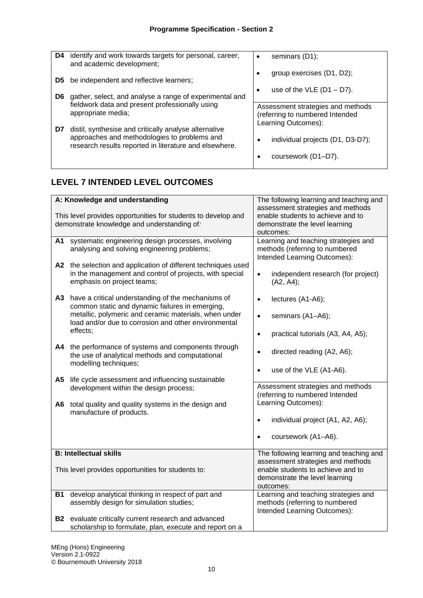| D4 | identify and work towards targets for personal, career,<br>and academic development;                                                                            | seminars (D1);<br>٠                                                  |
|----|-----------------------------------------------------------------------------------------------------------------------------------------------------------------|----------------------------------------------------------------------|
| D5 | be independent and reflective learners;                                                                                                                         | group exercises (D1, D2);                                            |
| D6 | gather, select, and analyse a range of experimental and                                                                                                         | use of the VLE $(D1 - D7)$ .<br>٠                                    |
|    | fieldwork data and present professionally using<br>appropriate media;                                                                                           | Assessment strategies and methods<br>(referring to numbered Intended |
| D7 | distil, synthesise and critically analyse alternative<br>approaches and methodologies to problems and<br>research results reported in literature and elsewhere. | Learning Outcomes):<br>individual projects (D1, D3-D7);              |
|    |                                                                                                                                                                 | coursework (D1-D7).                                                  |

## **LEVEL 7 INTENDED LEVEL OUTCOMES**

|           | A: Knowledge and understanding<br>This level provides opportunities for students to develop and<br>demonstrate knowledge and understanding of:                                                                                     | The following learning and teaching and<br>assessment strategies and methods<br>enable students to achieve and to<br>demonstrate the level learning<br>outcomes: |
|-----------|------------------------------------------------------------------------------------------------------------------------------------------------------------------------------------------------------------------------------------|------------------------------------------------------------------------------------------------------------------------------------------------------------------|
| A1        | systematic engineering design processes, involving<br>analysing and solving engineering problems;                                                                                                                                  | Learning and teaching strategies and<br>methods (referring to numbered<br>Intended Learning Outcomes):                                                           |
| A2        | the selection and application of different techniques used<br>in the management and control of projects, with special<br>emphasis on project teams;                                                                                | independent research (for project)<br>$\bullet$<br>(A2, A4);                                                                                                     |
| A3        | have a critical understanding of the mechanisms of<br>common static and dynamic failures in emerging,<br>metallic, polymeric and ceramic materials, when under<br>load and/or due to corrosion and other environmental<br>effects; | lectures (A1-A6);<br>$\bullet$<br>seminars (A1-A6);<br>$\bullet$<br>practical tutorials (A3, A4, A5);<br>$\bullet$                                               |
| A4        | the performance of systems and components through<br>the use of analytical methods and computational<br>modelling techniques;                                                                                                      | directed reading (A2, A6);<br>$\bullet$<br>use of the VLE (A1-A6).<br>$\bullet$                                                                                  |
| A5        | life cycle assessment and influencing sustainable<br>development within the design process;                                                                                                                                        | Assessment strategies and methods<br>(referring to numbered Intended                                                                                             |
| A6        | total quality and quality systems in the design and<br>manufacture of products.                                                                                                                                                    | Learning Outcomes):<br>individual project (A1, A2, A6);<br>coursework (A1-A6).<br>$\bullet$                                                                      |
|           | <b>B: Intellectual skills</b>                                                                                                                                                                                                      | The following learning and teaching and<br>assessment strategies and methods                                                                                     |
|           | This level provides opportunities for students to:                                                                                                                                                                                 | enable students to achieve and to<br>demonstrate the level learning<br>outcomes:                                                                                 |
| <b>B1</b> | develop analytical thinking in respect of part and<br>assembly design for simulation studies;                                                                                                                                      | Learning and teaching strategies and<br>methods (referring to numbered<br>Intended Learning Outcomes):                                                           |
|           | B2 evaluate critically current research and advanced                                                                                                                                                                               |                                                                                                                                                                  |
|           | scholarship to formulate, plan, execute and report on a                                                                                                                                                                            |                                                                                                                                                                  |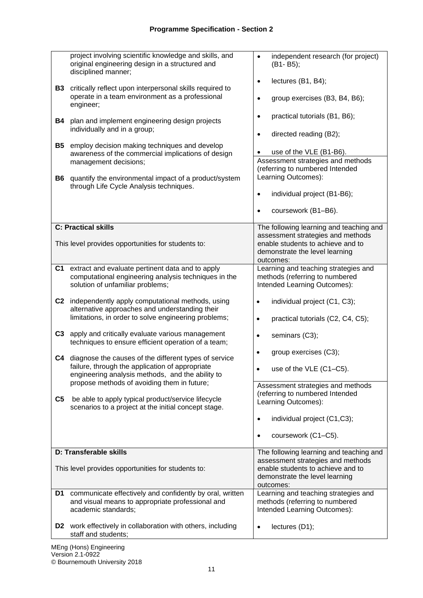| <b>B3</b><br><b>B4</b><br><b>B5</b><br><b>B6</b> | project involving scientific knowledge and skills, and<br>original engineering design in a structured and<br>disciplined manner;<br>critically reflect upon interpersonal skills required to<br>operate in a team environment as a professional<br>engineer;<br>plan and implement engineering design projects<br>individually and in a group;<br>employ decision making techniques and develop<br>awareness of the commercial implications of design<br>management decisions;<br>quantify the environmental impact of a product/system<br>through Life Cycle Analysis techniques. | independent research (for project)<br>$\bullet$<br>(B1-B5);<br>lectures (B1, B4);<br>$\bullet$<br>group exercises (B3, B4, B6);<br>$\bullet$<br>practical tutorials (B1, B6);<br>$\bullet$<br>directed reading (B2);<br>$\bullet$<br>use of the VLE (B1-B6).<br>$\bullet$<br>Assessment strategies and methods<br>(referring to numbered Intended<br>Learning Outcomes):<br>individual project (B1-B6);<br>$\bullet$ |
|--------------------------------------------------|------------------------------------------------------------------------------------------------------------------------------------------------------------------------------------------------------------------------------------------------------------------------------------------------------------------------------------------------------------------------------------------------------------------------------------------------------------------------------------------------------------------------------------------------------------------------------------|----------------------------------------------------------------------------------------------------------------------------------------------------------------------------------------------------------------------------------------------------------------------------------------------------------------------------------------------------------------------------------------------------------------------|
|                                                  |                                                                                                                                                                                                                                                                                                                                                                                                                                                                                                                                                                                    | coursework (B1-B6).<br>$\bullet$                                                                                                                                                                                                                                                                                                                                                                                     |
|                                                  | <b>C: Practical skills</b><br>This level provides opportunities for students to:                                                                                                                                                                                                                                                                                                                                                                                                                                                                                                   | The following learning and teaching and<br>assessment strategies and methods<br>enable students to achieve and to<br>demonstrate the level learning<br>outcomes:                                                                                                                                                                                                                                                     |
| C <sub>1</sub>                                   | extract and evaluate pertinent data and to apply<br>computational engineering analysis techniques in the<br>solution of unfamiliar problems;                                                                                                                                                                                                                                                                                                                                                                                                                                       | Learning and teaching strategies and<br>methods (referring to numbered<br>Intended Learning Outcomes):                                                                                                                                                                                                                                                                                                               |
| C <sub>2</sub>                                   | independently apply computational methods, using<br>alternative approaches and understanding their<br>limitations, in order to solve engineering problems;                                                                                                                                                                                                                                                                                                                                                                                                                         | individual project (C1, C3);<br>$\bullet$<br>practical tutorials (C2, C4, C5);<br>$\bullet$                                                                                                                                                                                                                                                                                                                          |
| C <sub>3</sub>                                   | apply and critically evaluate various management<br>techniques to ensure efficient operation of a team;                                                                                                                                                                                                                                                                                                                                                                                                                                                                            | seminars (C3);<br>$\bullet$                                                                                                                                                                                                                                                                                                                                                                                          |
|                                                  | C4 diagnose the causes of the different types of service<br>failure, through the application of appropriate<br>engineering analysis methods, and the ability to                                                                                                                                                                                                                                                                                                                                                                                                                    | group exercises (C3);<br>$\bullet$<br>use of the VLE (C1-C5).                                                                                                                                                                                                                                                                                                                                                        |
| C <sub>5</sub>                                   | propose methods of avoiding them in future;<br>be able to apply typical product/service lifecycle<br>scenarios to a project at the initial concept stage.                                                                                                                                                                                                                                                                                                                                                                                                                          | Assessment strategies and methods<br>(referring to numbered Intended<br>Learning Outcomes):                                                                                                                                                                                                                                                                                                                          |
|                                                  |                                                                                                                                                                                                                                                                                                                                                                                                                                                                                                                                                                                    | individual project (C1,C3);<br>$\bullet$<br>coursework (C1-C5).<br>$\bullet$                                                                                                                                                                                                                                                                                                                                         |
|                                                  | D: Transferable skills                                                                                                                                                                                                                                                                                                                                                                                                                                                                                                                                                             | The following learning and teaching and                                                                                                                                                                                                                                                                                                                                                                              |
|                                                  | This level provides opportunities for students to:                                                                                                                                                                                                                                                                                                                                                                                                                                                                                                                                 | assessment strategies and methods<br>enable students to achieve and to<br>demonstrate the level learning<br>outcomes:                                                                                                                                                                                                                                                                                                |
| D1                                               | communicate effectively and confidently by oral, written<br>and visual means to appropriate professional and<br>academic standards;                                                                                                                                                                                                                                                                                                                                                                                                                                                | Learning and teaching strategies and<br>methods (referring to numbered<br>Intended Learning Outcomes):                                                                                                                                                                                                                                                                                                               |
| D <sub>2</sub>                                   | work effectively in collaboration with others, including<br>staff and students;                                                                                                                                                                                                                                                                                                                                                                                                                                                                                                    | lectures (D1);<br>$\bullet$                                                                                                                                                                                                                                                                                                                                                                                          |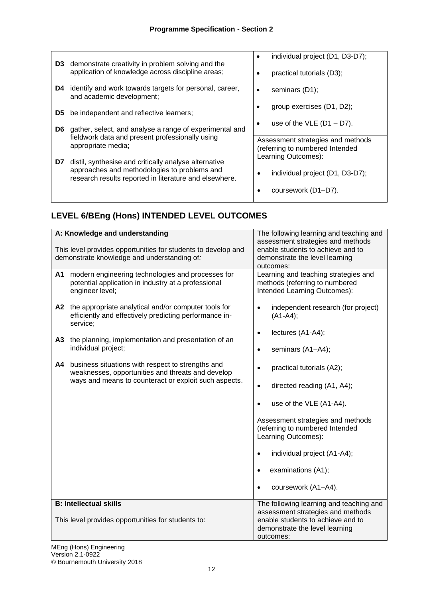| D3                                                     | demonstrate creativity in problem solving and the<br>application of knowledge across discipline areas; | individual project (D1, D3-D7);<br>practical tutorials (D3);         |
|--------------------------------------------------------|--------------------------------------------------------------------------------------------------------|----------------------------------------------------------------------|
| D4.                                                    | identify and work towards targets for personal, career,<br>and academic development;                   | seminars (D1);                                                       |
| D5                                                     | be independent and reflective learners;                                                                | group exercises $(D1, D2)$ ;                                         |
| D6                                                     | gather, select, and analyse a range of experimental and                                                | use of the VLE $(D1 - D7)$ .                                         |
|                                                        | fieldwork data and present professionally using<br>appropriate media;                                  | Assessment strategies and methods<br>(referring to numbered Intended |
| D7                                                     | distil, synthesise and critically analyse alternative<br>approaches and methodologies to problems and  | Learning Outcomes):                                                  |
| research results reported in literature and elsewhere. |                                                                                                        | individual project (D1, D3-D7);                                      |
|                                                        |                                                                                                        | coursework (D1-D7).                                                  |

# **LEVEL 6/BEng (Hons) INTENDED LEVEL OUTCOMES**

|    | A: Knowledge and understanding                                                                                                                                  | The following learning and teaching and                                                                                                                                                           |
|----|-----------------------------------------------------------------------------------------------------------------------------------------------------------------|---------------------------------------------------------------------------------------------------------------------------------------------------------------------------------------------------|
|    | This level provides opportunities for students to develop and<br>demonstrate knowledge and understanding of:                                                    | assessment strategies and methods<br>enable students to achieve and to<br>demonstrate the level learning<br>outcomes:                                                                             |
| A1 | modern engineering technologies and processes for<br>potential application in industry at a professional<br>engineer level;                                     | Learning and teaching strategies and<br>methods (referring to numbered<br>Intended Learning Outcomes):                                                                                            |
|    | A2 the appropriate analytical and/or computer tools for<br>efficiently and effectively predicting performance in-<br>service;                                   | independent research (for project)<br>$\bullet$<br>$(A1-A4);$                                                                                                                                     |
|    | A3 the planning, implementation and presentation of an<br>individual project;                                                                                   | lectures (A1-A4);<br>$\bullet$<br>seminars (A1-A4);<br>$\bullet$                                                                                                                                  |
| A4 | business situations with respect to strengths and<br>weaknesses, opportunities and threats and develop<br>ways and means to counteract or exploit such aspects. | practical tutorials (A2);<br>$\bullet$<br>directed reading (A1, A4);<br>$\bullet$                                                                                                                 |
|    |                                                                                                                                                                 | use of the VLE (A1-A4).<br>$\bullet$                                                                                                                                                              |
|    |                                                                                                                                                                 | Assessment strategies and methods<br>(referring to numbered Intended<br>Learning Outcomes):<br>individual project (A1-A4);<br>examinations (A1);<br>$\bullet$<br>coursework (A1-A4).<br>$\bullet$ |
|    | <b>B: Intellectual skills</b>                                                                                                                                   | The following learning and teaching and<br>assessment strategies and methods                                                                                                                      |
|    | This level provides opportunities for students to:                                                                                                              | enable students to achieve and to<br>demonstrate the level learning<br>outcomes:                                                                                                                  |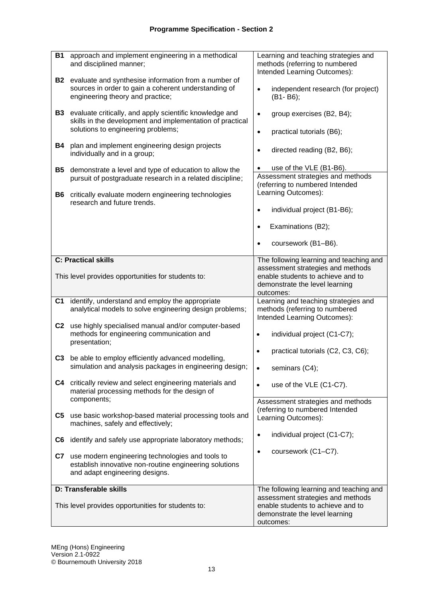| <b>B1</b>      | approach and implement engineering in a methodical<br>and disciplined manner;                                                                              | Learning and teaching strategies and<br>methods (referring to numbered<br>Intended Learning Outcomes):                                                           |
|----------------|------------------------------------------------------------------------------------------------------------------------------------------------------------|------------------------------------------------------------------------------------------------------------------------------------------------------------------|
| <b>B2</b>      | evaluate and synthesise information from a number of<br>sources in order to gain a coherent understanding of<br>engineering theory and practice;           | independent research (for project)<br>$\bullet$<br>(B1-B6);                                                                                                      |
| <b>B3</b>      | evaluate critically, and apply scientific knowledge and<br>skills in the development and implementation of practical<br>solutions to engineering problems; | group exercises (B2, B4);<br>$\bullet$<br>practical tutorials (B6);<br>$\bullet$                                                                                 |
| B4             | plan and implement engineering design projects<br>individually and in a group;                                                                             | directed reading (B2, B6);<br>$\bullet$                                                                                                                          |
| <b>B5</b>      | demonstrate a level and type of education to allow the<br>pursuit of postgraduate research in a related discipline;                                        | use of the VLE (B1-B6).<br>Assessment strategies and methods<br>(referring to numbered Intended<br>Learning Outcomes):                                           |
| B6             | critically evaluate modern engineering technologies<br>research and future trends.                                                                         | individual project (B1-B6);<br>$\bullet$                                                                                                                         |
|                |                                                                                                                                                            | Examinations (B2);<br>$\bullet$                                                                                                                                  |
|                |                                                                                                                                                            | coursework (B1-B6).<br>$\bullet$                                                                                                                                 |
|                | <b>C: Practical skills</b>                                                                                                                                 | The following learning and teaching and<br>assessment strategies and methods                                                                                     |
|                | This level provides opportunities for students to:                                                                                                         | enable students to achieve and to<br>demonstrate the level learning<br>outcomes:                                                                                 |
| C <sub>1</sub> | identify, understand and employ the appropriate<br>analytical models to solve engineering design problems;                                                 | Learning and teaching strategies and<br>methods (referring to numbered<br>Intended Learning Outcomes):                                                           |
| C <sub>2</sub> | use highly specialised manual and/or computer-based<br>methods for engineering communication and<br>presentation;                                          | individual project (C1-C7);<br>$\bullet$                                                                                                                         |
| C <sub>3</sub> | be able to employ efficiently advanced modelling,<br>simulation and analysis packages in engineering design;                                               | practical tutorials (C2, C3, C6);<br>seminars (C4);                                                                                                              |
| C <sub>4</sub> | critically review and select engineering materials and<br>material processing methods for the design of                                                    | use of the VLE (C1-C7).<br>$\bullet$                                                                                                                             |
| C5             | components;<br>use basic workshop-based material processing tools and<br>machines, safely and effectively;                                                 | Assessment strategies and methods<br>(referring to numbered Intended<br>Learning Outcomes):                                                                      |
| C6             | identify and safely use appropriate laboratory methods;                                                                                                    | individual project (C1-C7);<br>$\bullet$                                                                                                                         |
| C7             | use modern engineering technologies and tools to<br>establish innovative non-routine engineering solutions<br>and adapt engineering designs.               | coursework (C1-C7).<br>$\bullet$                                                                                                                                 |
|                | D: Transferable skills<br>This level provides opportunities for students to:                                                                               | The following learning and teaching and<br>assessment strategies and methods<br>enable students to achieve and to<br>demonstrate the level learning<br>outcomes: |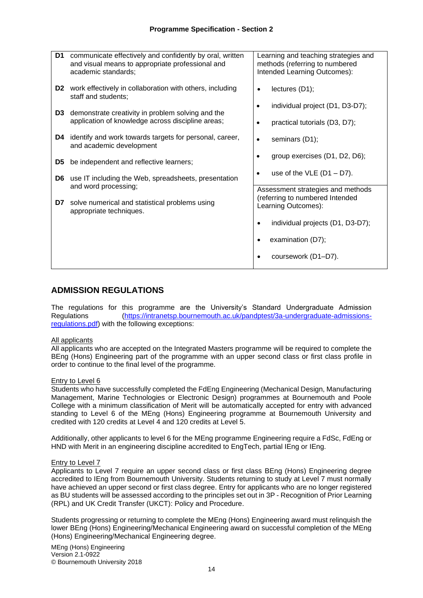| communicate effectively and confidently by oral, written<br>D1<br>and visual means to appropriate professional and<br>academic standards; | Learning and teaching strategies and<br>methods (referring to numbered<br>Intended Learning Outcomes): |
|-------------------------------------------------------------------------------------------------------------------------------------------|--------------------------------------------------------------------------------------------------------|
| <b>D2</b> work effectively in collaboration with others, including<br>staff and students;                                                 | lectures $(D1)$ ;                                                                                      |
| demonstrate creativity in problem solving and the<br>D <sub>3</sub>                                                                       | individual project (D1, D3-D7);                                                                        |
| application of knowledge across discipline areas;                                                                                         | practical tutorials (D3, D7);                                                                          |
| identify and work towards targets for personal, career,<br>D4<br>and academic development                                                 | seminars (D1);                                                                                         |
| be independent and reflective learners;<br>D <sub>5</sub>                                                                                 | group exercises (D1, D2, D6);                                                                          |
| use IT including the Web, spreadsheets, presentation<br>D6.<br>and word processing;                                                       | use of the $VLE$ (D1 - D7).                                                                            |
|                                                                                                                                           | Assessment strategies and methods<br>(referring to numbered Intended                                   |
| solve numerical and statistical problems using<br>D7<br>appropriate techniques.                                                           | Learning Outcomes):                                                                                    |
|                                                                                                                                           | individual projects (D1, D3-D7);                                                                       |
|                                                                                                                                           | examination (D7);                                                                                      |
|                                                                                                                                           | coursework (D1-D7).                                                                                    |
|                                                                                                                                           |                                                                                                        |

### **ADMISSION REGULATIONS**

The regulations for this programme are the University's Standard Undergraduate Admission Regulations [\(https://intranetsp.bournemouth.ac.uk/pandptest/3a-undergraduate-admissions](https://intranetsp.bournemouth.ac.uk/pandptest/3a-undergraduate-admissions-regulations.pdf)[regulations.pdf\)](https://intranetsp.bournemouth.ac.uk/pandptest/3a-undergraduate-admissions-regulations.pdf) with the following exceptions:

#### All applicants

All applicants who are accepted on the Integrated Masters programme will be required to complete the BEng (Hons) Engineering part of the programme with an upper second class or first class profile in order to continue to the final level of the programme.

#### Entry to Level 6

Students who have successfully completed the FdEng Engineering (Mechanical Design, Manufacturing Management, Marine Technologies or Electronic Design) programmes at Bournemouth and Poole College with a minimum classification of Merit will be automatically accepted for entry with advanced standing to Level 6 of the MEng (Hons) Engineering programme at Bournemouth University and credited with 120 credits at Level 4 and 120 credits at Level 5.

Additionally, other applicants to level 6 for the MEng programme Engineering require a FdSc, FdEng or HND with Merit in an engineering discipline accredited to EngTech, partial IEng or IEng.

#### Entry to Level 7

Applicants to Level 7 require an upper second class or first class BEng (Hons) Engineering degree accredited to IEng from Bournemouth University. Students returning to study at Level 7 must normally have achieved an upper second or first class degree. Entry for applicants who are no longer registered as BU students will be assessed according to the principles set out in 3P - Recognition of Prior Learning (RPL) and UK Credit Transfer (UKCT): Policy and Procedure.

Students progressing or returning to complete the MEng (Hons) Engineering award must relinquish the lower BEng (Hons) Engineering/Mechanical Engineering award on successful completion of the MEng (Hons) Engineering/Mechanical Engineering degree.

MEng (Hons) Engineering Version 2.1-0922 © Bournemouth University 2018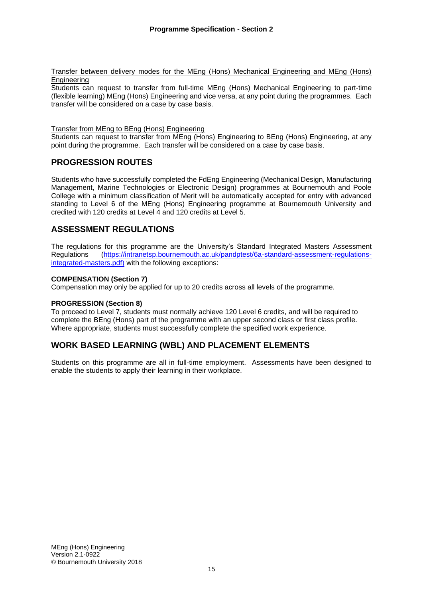Transfer between delivery modes for the MEng (Hons) Mechanical Engineering and MEng (Hons) Engineering

Students can request to transfer from full-time MEng (Hons) Mechanical Engineering to part-time (flexible learning) MEng (Hons) Engineering and vice versa, at any point during the programmes. Each transfer will be considered on a case by case basis.

#### Transfer from MEng to BEng (Hons) Engineering

Students can request to transfer from MEng (Hons) Engineering to BEng (Hons) Engineering, at any point during the programme. Each transfer will be considered on a case by case basis.

### **PROGRESSION ROUTES**

Students who have successfully completed the FdEng Engineering (Mechanical Design, Manufacturing Management, Marine Technologies or Electronic Design) programmes at Bournemouth and Poole College with a minimum classification of Merit will be automatically accepted for entry with advanced standing to Level 6 of the MEng (Hons) Engineering programme at Bournemouth University and credited with 120 credits at Level 4 and 120 credits at Level 5.

### **ASSESSMENT REGULATIONS**

The regulations for this programme are the University's Standard Integrated Masters Assessment Regulations [\(https://intranetsp.bournemouth.ac.uk/pandptest/6a-standard-assessment-regulations](https://intranetsp.bournemouth.ac.uk/pandptest/6a-standard-assessment-regulations-integrated-masters.pdf)[integrated-masters.pdf\)](https://intranetsp.bournemouth.ac.uk/pandptest/6a-standard-assessment-regulations-integrated-masters.pdf) with the following exceptions:

#### **COMPENSATION (Section 7)**

Compensation may only be applied for up to 20 credits across all levels of the programme.

#### **PROGRESSION (Section 8)**

To proceed to Level 7, students must normally achieve 120 Level 6 credits, and will be required to complete the BEng (Hons) part of the programme with an upper second class or first class profile. Where appropriate, students must successfully complete the specified work experience.

### **WORK BASED LEARNING (WBL) AND PLACEMENT ELEMENTS**

Students on this programme are all in full-time employment. Assessments have been designed to enable the students to apply their learning in their workplace.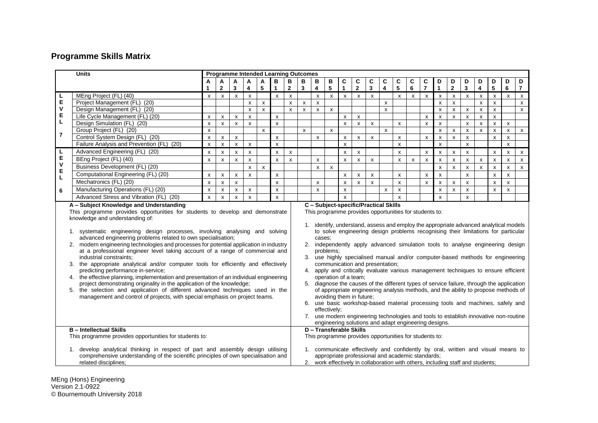# **Programme Skills Matrix**

| <b>Units</b>                                                                                                                                                                                                                                                                                                                                                                                                                                                                                                                                                                                                                                                                                                                                                                                                                                                                                                                                                                                                                                                                                                                                                                                                                                                                                                                                                                                                                                                                                                                                                                                                                                                                                                                                                                                                                                                                                                                                                                                   |                                           |                           | <b>Programme Intended Learning Outcomes</b> |                           |                    |                    |                                                                                                                                                                                                                        |                    |   |                         |                |                           |                         |              |                         |                    |              |                           |                           |                    |                           |                           |                           |                           |                |
|------------------------------------------------------------------------------------------------------------------------------------------------------------------------------------------------------------------------------------------------------------------------------------------------------------------------------------------------------------------------------------------------------------------------------------------------------------------------------------------------------------------------------------------------------------------------------------------------------------------------------------------------------------------------------------------------------------------------------------------------------------------------------------------------------------------------------------------------------------------------------------------------------------------------------------------------------------------------------------------------------------------------------------------------------------------------------------------------------------------------------------------------------------------------------------------------------------------------------------------------------------------------------------------------------------------------------------------------------------------------------------------------------------------------------------------------------------------------------------------------------------------------------------------------------------------------------------------------------------------------------------------------------------------------------------------------------------------------------------------------------------------------------------------------------------------------------------------------------------------------------------------------------------------------------------------------------------------------------------------------|-------------------------------------------|---------------------------|---------------------------------------------|---------------------------|--------------------|--------------------|------------------------------------------------------------------------------------------------------------------------------------------------------------------------------------------------------------------------|--------------------|---|-------------------------|----------------|---------------------------|-------------------------|--------------|-------------------------|--------------------|--------------|---------------------------|---------------------------|--------------------|---------------------------|---------------------------|---------------------------|---------------------------|----------------|
|                                                                                                                                                                                                                                                                                                                                                                                                                                                                                                                                                                                                                                                                                                                                                                                                                                                                                                                                                                                                                                                                                                                                                                                                                                                                                                                                                                                                                                                                                                                                                                                                                                                                                                                                                                                                                                                                                                                                                                                                |                                           | А                         | Α                                           | A                         | A                  | A                  | в                                                                                                                                                                                                                      | B                  | в | В                       | В              | C                         | C                       | C            | C                       | C                  | C            | C                         | D                         | D                  | D                         | D                         | D                         | D                         | D              |
|                                                                                                                                                                                                                                                                                                                                                                                                                                                                                                                                                                                                                                                                                                                                                                                                                                                                                                                                                                                                                                                                                                                                                                                                                                                                                                                                                                                                                                                                                                                                                                                                                                                                                                                                                                                                                                                                                                                                                                                                |                                           |                           | $\mathbf{2}$                                | 3                         | 4                  | 5                  | $\mathbf{1}$                                                                                                                                                                                                           | $\mathbf{2}$       | 3 | $\overline{\mathbf{4}}$ | 5              | $\blacktriangleleft$      | $\overline{\mathbf{2}}$ | $\mathbf{3}$ | $\overline{\mathbf{4}}$ | 5                  | 6            | $\overline{7}$            | $\mathbf{1}$              | $\mathbf{2}$       | $\mathbf{3}$              | $\overline{\mathbf{4}}$   | 5                         | 6                         | $\overline{7}$ |
|                                                                                                                                                                                                                                                                                                                                                                                                                                                                                                                                                                                                                                                                                                                                                                                                                                                                                                                                                                                                                                                                                                                                                                                                                                                                                                                                                                                                                                                                                                                                                                                                                                                                                                                                                                                                                                                                                                                                                                                                | MEng Project (FL) (40)                    | $\boldsymbol{\mathsf{x}}$ | $\boldsymbol{\mathsf{x}}$                   | $\pmb{\times}$            | $\pmb{\chi}$       |                    | $\pmb{\chi}$                                                                                                                                                                                                           | $\pmb{\chi}$       |   | $\pmb{\chi}$            | $\pmb{\times}$ | $\mathsf{x}$              | $\mathsf{x}$            | $\mathsf{x}$ |                         | $\mathsf{x}$       | $\pmb{\chi}$ | $\pmb{\chi}$              | $\pmb{\chi}$              | $\pmb{\mathsf{X}}$ | $\boldsymbol{\mathsf{x}}$ | $\pmb{\chi}$              | $\pmb{\times}$            | $\boldsymbol{\mathsf{x}}$ | $\mathsf{x}$   |
| L<br>E<br>V                                                                                                                                                                                                                                                                                                                                                                                                                                                                                                                                                                                                                                                                                                                                                                                                                                                                                                                                                                                                                                                                                                                                                                                                                                                                                                                                                                                                                                                                                                                                                                                                                                                                                                                                                                                                                                                                                                                                                                                    | Project Management (FL) (20)              |                           |                                             |                           | $\pmb{\times}$     | $\pmb{\chi}$       |                                                                                                                                                                                                                        | $\pmb{\times}$     | X | $\pmb{\times}$          |                |                           |                         |              | $\mathsf{x}$            |                    |              |                           | $\mathsf{x}$              | $\pmb{\mathsf{x}}$ |                           | $\boldsymbol{\mathsf{x}}$ | $\mathsf{x}$              |                           | $\mathsf{x}$   |
|                                                                                                                                                                                                                                                                                                                                                                                                                                                                                                                                                                                                                                                                                                                                                                                                                                                                                                                                                                                                                                                                                                                                                                                                                                                                                                                                                                                                                                                                                                                                                                                                                                                                                                                                                                                                                                                                                                                                                                                                | Design Management (FL) (20)               |                           |                                             |                           | $\pmb{\chi}$       | $\mathsf{x}$       |                                                                                                                                                                                                                        | $\mathsf{x}$       | X | X                       | X              |                           |                         |              | $\mathsf{x}$            |                    |              |                           | $\pmb{\mathsf{x}}$        | $\pmb{\mathsf{x}}$ | x                         | X                         | X                         |                           | $\mathsf{x}$   |
| E                                                                                                                                                                                                                                                                                                                                                                                                                                                                                                                                                                                                                                                                                                                                                                                                                                                                                                                                                                                                                                                                                                                                                                                                                                                                                                                                                                                                                                                                                                                                                                                                                                                                                                                                                                                                                                                                                                                                                                                              | Life Cycle Management (FL) (20)           | X                         | X                                           | $\pmb{\times}$            | $\pmb{\chi}$       |                    | X                                                                                                                                                                                                                      |                    |   |                         |                | $\boldsymbol{\mathsf{x}}$ | $\pmb{\times}$          |              |                         |                    |              | X                         | $\boldsymbol{\mathsf{x}}$ | $\pmb{\mathsf{x}}$ | $\pmb{\mathsf{x}}$        | $\pmb{\times}$            | $\mathsf{x}$              |                           |                |
| L                                                                                                                                                                                                                                                                                                                                                                                                                                                                                                                                                                                                                                                                                                                                                                                                                                                                                                                                                                                                                                                                                                                                                                                                                                                                                                                                                                                                                                                                                                                                                                                                                                                                                                                                                                                                                                                                                                                                                                                              | Design Simulation (FL) (20)               | $\boldsymbol{\mathsf{x}}$ | $\pmb{\chi}$                                | x                         | $\mathsf{x}$       |                    | $\mathsf{x}$                                                                                                                                                                                                           |                    |   |                         |                | $\mathbf{x}$              | $\mathsf{x}$            | $\mathsf{x}$ |                         | $\mathsf{x}$       |              | $\boldsymbol{\mathsf{x}}$ | $\mathsf{x}$              |                    | x                         | $\mathsf{x}$              | $\mathsf{x}$              | $\boldsymbol{\mathsf{x}}$ |                |
| $\overline{7}$                                                                                                                                                                                                                                                                                                                                                                                                                                                                                                                                                                                                                                                                                                                                                                                                                                                                                                                                                                                                                                                                                                                                                                                                                                                                                                                                                                                                                                                                                                                                                                                                                                                                                                                                                                                                                                                                                                                                                                                 | Group Project (FL) (20)                   | $\pmb{\times}$            |                                             |                           |                    | $\pmb{\mathsf{x}}$ |                                                                                                                                                                                                                        |                    | x |                         | X              |                           |                         |              | $\pmb{\mathsf{x}}$      |                    |              |                           | $\pmb{\mathsf{x}}$        | $\pmb{\mathsf{x}}$ | $\pmb{\mathsf{x}}$        | $\boldsymbol{\mathsf{x}}$ | $\pmb{\times}$            | $\boldsymbol{\mathsf{x}}$ | $\mathsf{x}$   |
|                                                                                                                                                                                                                                                                                                                                                                                                                                                                                                                                                                                                                                                                                                                                                                                                                                                                                                                                                                                                                                                                                                                                                                                                                                                                                                                                                                                                                                                                                                                                                                                                                                                                                                                                                                                                                                                                                                                                                                                                | Control System Design (FL) (20)           | X                         | $\pmb{\mathsf{x}}$                          | X                         |                    |                    | x                                                                                                                                                                                                                      |                    |   | $\pmb{\mathsf{x}}$      |                | $\pmb{\chi}$              | $\pmb{\mathsf{X}}$      | X            |                         | X                  |              | $\boldsymbol{\mathsf{x}}$ | x                         | $\pmb{\mathsf{x}}$ | x                         |                           | x                         | X                         |                |
|                                                                                                                                                                                                                                                                                                                                                                                                                                                                                                                                                                                                                                                                                                                                                                                                                                                                                                                                                                                                                                                                                                                                                                                                                                                                                                                                                                                                                                                                                                                                                                                                                                                                                                                                                                                                                                                                                                                                                                                                | Failure Analysis and Prevention (FL) (20) | $\pmb{\mathsf{x}}$        | $\pmb{\times}$                              | $\mathsf{x}$              | $\pmb{\chi}$       |                    | $\mathsf{x}$                                                                                                                                                                                                           |                    |   |                         |                | $\mathbf{x}$              |                         |              |                         | X                  |              |                           | $\mathsf{x}$              |                    | $\mathsf{x}$              |                           |                           | $\mathbf{x}$              |                |
|                                                                                                                                                                                                                                                                                                                                                                                                                                                                                                                                                                                                                                                                                                                                                                                                                                                                                                                                                                                                                                                                                                                                                                                                                                                                                                                                                                                                                                                                                                                                                                                                                                                                                                                                                                                                                                                                                                                                                                                                | Advanced Engineering (FL) (20)            | $\pmb{\times}$            | $\pmb{\times}$                              | $\boldsymbol{\mathsf{x}}$ | $\pmb{\times}$     |                    | $\pmb{\mathsf{x}}$                                                                                                                                                                                                     | $\pmb{\mathsf{x}}$ |   |                         |                | $\boldsymbol{\mathsf{x}}$ | $\pmb{\mathsf{x}}$      |              |                         | $\pmb{\mathsf{x}}$ |              | $\boldsymbol{\mathsf{x}}$ | $\boldsymbol{\mathsf{x}}$ | $\pmb{\mathsf{x}}$ | x                         |                           | $\pmb{\times}$            | $\boldsymbol{\mathsf{x}}$ | $\mathsf{x}$   |
| し<br>ヒ<br>V                                                                                                                                                                                                                                                                                                                                                                                                                                                                                                                                                                                                                                                                                                                                                                                                                                                                                                                                                                                                                                                                                                                                                                                                                                                                                                                                                                                                                                                                                                                                                                                                                                                                                                                                                                                                                                                                                                                                                                                    | BEng Project (FL) (40)                    | X                         | X                                           | x                         | $\mathsf{x}$       |                    | x                                                                                                                                                                                                                      | $\mathsf{x}$       |   | $\pmb{\chi}$            |                | X                         | $\pmb{\chi}$            | X            |                         | X                  | $\pmb{\chi}$ | $\boldsymbol{\mathsf{x}}$ | $\mathsf{x}$              | $\pmb{\mathsf{x}}$ | x                         | $\pmb{\chi}$              | X                         | $\boldsymbol{\mathsf{x}}$ | $\mathsf{x}$   |
|                                                                                                                                                                                                                                                                                                                                                                                                                                                                                                                                                                                                                                                                                                                                                                                                                                                                                                                                                                                                                                                                                                                                                                                                                                                                                                                                                                                                                                                                                                                                                                                                                                                                                                                                                                                                                                                                                                                                                                                                | Business Development (FL) (20)            |                           |                                             |                           | X                  | $\pmb{\mathsf{x}}$ |                                                                                                                                                                                                                        |                    |   | $\pmb{\chi}$            | X              |                           |                         |              |                         |                    |              |                           | x                         | $\pmb{\chi}$       | $\pmb{\mathsf{x}}$        | $\pmb{\times}$            | X                         | $\boldsymbol{\mathsf{x}}$ | x              |
| E<br>L                                                                                                                                                                                                                                                                                                                                                                                                                                                                                                                                                                                                                                                                                                                                                                                                                                                                                                                                                                                                                                                                                                                                                                                                                                                                                                                                                                                                                                                                                                                                                                                                                                                                                                                                                                                                                                                                                                                                                                                         | Computational Engineering (FL) (20)       | x                         | X                                           | X                         | $\pmb{\times}$     |                    | X                                                                                                                                                                                                                      |                    |   |                         |                | X                         | X                       | x            |                         | x                  |              | X                         | x                         |                    | x                         |                           | $\boldsymbol{\mathsf{x}}$ | X                         |                |
|                                                                                                                                                                                                                                                                                                                                                                                                                                                                                                                                                                                                                                                                                                                                                                                                                                                                                                                                                                                                                                                                                                                                                                                                                                                                                                                                                                                                                                                                                                                                                                                                                                                                                                                                                                                                                                                                                                                                                                                                | Mechatronics (FL) (20)                    | $\boldsymbol{\mathsf{x}}$ | $\pmb{\times}$                              | $\pmb{\mathsf{x}}$        |                    |                    | $\mathsf{x}$                                                                                                                                                                                                           |                    |   | $\pmb{\chi}$            |                | $\boldsymbol{\mathsf{x}}$ | $\pmb{\mathsf{x}}$      | $\mathsf{x}$ |                         | $\pmb{\times}$     |              | $\boldsymbol{\mathsf{x}}$ | $\pmb{\mathsf{x}}$        | $\pmb{\times}$     | $\mathsf{x}$              |                           | $\boldsymbol{\mathsf{x}}$ | $\pmb{\chi}$              |                |
| 6                                                                                                                                                                                                                                                                                                                                                                                                                                                                                                                                                                                                                                                                                                                                                                                                                                                                                                                                                                                                                                                                                                                                                                                                                                                                                                                                                                                                                                                                                                                                                                                                                                                                                                                                                                                                                                                                                                                                                                                              | Manufacturing Operations (FL) (20)        | X                         | $\pmb{\mathsf{x}}$                          | $\pmb{\mathsf{x}}$        | $\pmb{\mathsf{x}}$ |                    | $\pmb{\mathsf{x}}$                                                                                                                                                                                                     |                    |   | $\pmb{\times}$          |                | x                         |                         |              | X                       | X                  |              |                           | $\pmb{\mathsf{x}}$        | $\pmb{\times}$     | x                         |                           | X                         | X                         |                |
|                                                                                                                                                                                                                                                                                                                                                                                                                                                                                                                                                                                                                                                                                                                                                                                                                                                                                                                                                                                                                                                                                                                                                                                                                                                                                                                                                                                                                                                                                                                                                                                                                                                                                                                                                                                                                                                                                                                                                                                                | Advanced Stress and Vibration (FL) (20)   | $\mathsf{x}$              | $\pmb{\times}$                              | x                         | X                  |                    | $\pmb{\mathsf{x}}$                                                                                                                                                                                                     |                    |   |                         |                | $\boldsymbol{\mathsf{x}}$ |                         |              |                         | X                  |              |                           | $\mathsf{x}$              |                    | X                         |                           |                           |                           |                |
| This programme provides opportunities for students to develop and demonstrate<br>This programme provides opportunities for students to:<br>knowledge and understanding of:<br>identify, understand, assess and employ the appropriate advanced analytical models<br>to solve engineering design problems recognising their limitations for particular<br>1. systematic engineering design processes, involving analysing and solving<br>advanced engineering problems related to own specialisation;<br>cases:<br>2. modern engineering technologies and processes for potential application in industry<br>independently apply advanced simulation tools to analyse engineering design<br>2.<br>at a professional engineer level taking account of a range of commercial and<br>problems;<br>industrial constraints:<br>use highly specialised manual and/or computer-based methods for engineering<br>3.<br>3. the appropriate analytical and/or computer tools for efficiently and effectively<br>communication and presentation;<br>predicting performance in-service;<br>4. apply and critically evaluate various management techniques to ensure efficient<br>4. the effective planning, implementation and presentation of an individual engineering<br>operation of a team;<br>project demonstrating originality in the application of the knowledge;<br>5. diagnose the causes of the different types of service failure, through the application<br>5. the selection and application of different advanced techniques used in the<br>of appropriate engineering analysis methods, and the ability to propose methods of<br>management and control of projects, with special emphasis on project teams.<br>avoiding them in future;<br>6. use basic workshop-based material processing tools and machines, safely and<br>effectively:<br>7. use modern engineering technologies and tools to establish innovative non-routine<br>engineering solutions and adapt engineering designs. |                                           |                           |                                             |                           |                    |                    |                                                                                                                                                                                                                        |                    |   |                         |                |                           |                         |              |                         |                    |              |                           |                           |                    |                           |                           |                           |                           |                |
| <b>B</b> - Intellectual Skills<br>This programme provides opportunities for students to:                                                                                                                                                                                                                                                                                                                                                                                                                                                                                                                                                                                                                                                                                                                                                                                                                                                                                                                                                                                                                                                                                                                                                                                                                                                                                                                                                                                                                                                                                                                                                                                                                                                                                                                                                                                                                                                                                                       |                                           |                           |                                             |                           |                    |                    | D - Transferable Skills<br>This programme provides opportunities for students to:                                                                                                                                      |                    |   |                         |                |                           |                         |              |                         |                    |              |                           |                           |                    |                           |                           |                           |                           |                |
| 1. develop analytical thinking in respect of part and assembly design utilising<br>comprehensive understanding of the scientific principles of own specialisation and<br>related disciplines;                                                                                                                                                                                                                                                                                                                                                                                                                                                                                                                                                                                                                                                                                                                                                                                                                                                                                                                                                                                                                                                                                                                                                                                                                                                                                                                                                                                                                                                                                                                                                                                                                                                                                                                                                                                                  |                                           |                           |                                             |                           |                    |                    | 1. communicate effectively and confidently by oral, written and visual means to<br>appropriate professional and academic standards;<br>2. work effectively in collaboration with others, including staff and students; |                    |   |                         |                |                           |                         |              |                         |                    |              |                           |                           |                    |                           |                           |                           |                           |                |